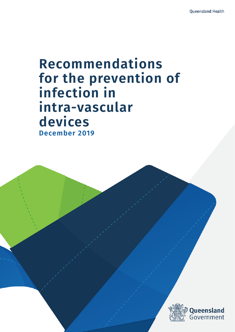# **Recommendations for the prevention of infection in intra-vascular devices December 2019**

 $R_{\rm eff}$  the preventions for the prevention intra-vascular devices  $\hat{f}$ 

December 2019

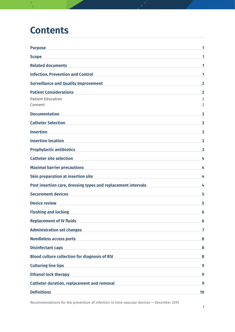#### **Contents**

| <b>Purpose</b>                                                                                                               |                                  |
|------------------------------------------------------------------------------------------------------------------------------|----------------------------------|
| <b>Scope</b>                                                                                                                 | 1                                |
| <b>Related documents</b>                                                                                                     | 1                                |
| <b>Infection, Prevention and Control</b>                                                                                     | 1                                |
| <b>Surveillance and Quality Improvement</b>                                                                                  | $\overline{2}$                   |
| <b>Patient Considerations</b>                                                                                                | $\overline{2}$                   |
| <b>Patient Education</b><br>Consent                                                                                          | $\overline{2}$<br>$\overline{2}$ |
| <b>Documentation</b>                                                                                                         | 3                                |
| <b>Catheter Selection</b>                                                                                                    | 3                                |
| <b>Insertion</b><br>the control of the control of the control of the control of the control of                               | 3                                |
| <b>Insertion location</b>                                                                                                    | 3                                |
| <b>Prophylactic antibiotics</b>                                                                                              | 3                                |
| <b>Catheter site selection</b>                                                                                               | 4                                |
| <b>Maximal barrier precautions</b>                                                                                           | 4                                |
| <b>Skin preparation at insertion site</b>                                                                                    | 4                                |
| Post insertion care, dressing types and replacement intervals                                                                | 4                                |
| <b>Securement devices</b>                                                                                                    | 5                                |
| <b>Device review</b><br><u> 1980 - Johann Barbara, martxa alemaniar a</u>                                                    | 5                                |
| <b>Flushing and locking</b>                                                                                                  | 6                                |
| <b>Replacement of IV fluids</b><br>the control of the control of the control of the control of the control of the control of | 6                                |
| <b>Administration set changes</b>                                                                                            | 7                                |
| <b>Needleless access ports</b><br><u> 1980 - Jan Salaman (b. 1980)</u>                                                       | 8                                |
| <b>Disinfectant caps</b><br><u> 1989 - Johann Stein, mars an deus Amerikaansk kommunister (</u>                              | 8                                |
| <b>Blood culture collection for diagnosis of BSI</b>                                                                         | 8                                |
| <b>Culturing line tips</b>                                                                                                   | 9                                |
| <b>Ethanol lock therapy</b>                                                                                                  | 9                                |
| <b>Catheter duration, replacement and removal</b>                                                                            | 9                                |
| <b>Definitions</b>                                                                                                           | 10                               |

Recommendations for the prevention of infection in intra-vascular devices — December 2019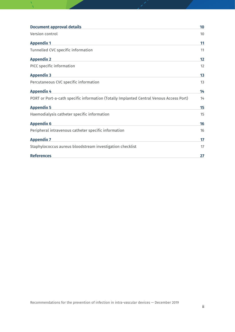| <b>Document approval details</b>                                                        | 10 |
|-----------------------------------------------------------------------------------------|----|
| Version control                                                                         | 10 |
| <b>Appendix 1</b>                                                                       | 11 |
| Tunnelled CVC specific information                                                      | 11 |
| <b>Appendix 2</b>                                                                       | 12 |
| PICC specific information                                                               | 12 |
| <b>Appendix 3</b>                                                                       | 13 |
| Percutaneous CVC specific information                                                   | 13 |
| <b>Appendix 4</b>                                                                       | 14 |
| PORT or Port-a-cath specific information (Totally Implanted Central Venous Access Port) | 14 |
| <b>Appendix 5</b>                                                                       | 15 |
| Haemodialysis catheter specific information                                             | 15 |
| <b>Appendix 6</b>                                                                       | 16 |
| Peripheral intravenous catheter specific information                                    | 16 |
| <b>Appendix 7</b>                                                                       | 17 |
| Staphylococcus aureus bloodstream investigation checklist                               | 17 |
| <b>References</b>                                                                       | 27 |
|                                                                                         |    |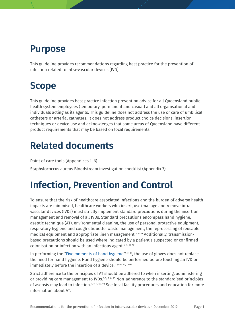### <span id="page-3-0"></span>**Purpose**

This guideline provides recommendations regarding best practice for the prevention of infection related to intra-vascular devices (IVD).

## <span id="page-3-1"></span>**Scope**

This guideline provides best practice infection prevention advice for all Queensland public health system employees (temporary, permanent and casual) and all organisational and individuals acting as its agents. This guideline does not address the use or care of umbilical catheters or arterial catheters. It does not address product choice decisions, insertion techniques or device use and acknowledges that some areas of Queensland have different product requirements that may be based on local requirements.

# <span id="page-3-2"></span>**Related documents**

Point of care tools (Appendices 1–6)

Staphylococcus aureus Bloodstream investigation checklist (Appendix 7)

# <span id="page-3-3"></span>**Infection, Prevention and Control**

To ensure that the risk of healthcare associated infections and the burden of adverse health impacts are minimised, healthcare workers who insert, use/manage and remove intravascular devices (IVDs) must strictly implement standard precautions during the insertion, management and removal of all IVDs. Standard precautions encompass hand hygiene, aseptic technique (AT), environmental cleaning, the use of personal protective equipment, respiratory hygiene and cough etiquette, waste management, the reprocessing of reusable medical equipment and appropriate linen management.<sup>3, 6-10</sup> Additionally, transmissionbased precautions should be used where indicated by a patient's suspected or confirmed colonisation or infection with an infectious agent. $6-8$ ,  $11$ ,  $12$ 

In performing the ["Five moments of hand hygiene"](https://www.hha.org.au/home/5-moments-for-hand-hygiene.aspx) $5-7$ ,  $13$ , the use of gloves does not replace the need for hand hygiene. Hand hygiene should be performed before touching an IVD or immediately before the insertion of a device. 1, 3-10, 12, 14-17

Strict adherence to the principles of AT should be adhered to when inserting, administering or providing care management to IVDs. $3-5, 7, 8, 15$  Non-adherence to the standardised principles of asepsis may lead to infection.<sup>3, 7, 8, 16, 19</sup> See local facility procedures and education for more information about AT.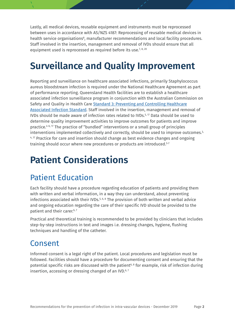Lastly, all medical devices, reusable equipment and instruments must be reprocessed between uses in accordance with AS/NZS 4187: Reprocessing of reusable medical devices in health service organisations<sup>8</sup>, manufacturer recommendations and local facility procedures. Staff involved in the insertion, management and removal of IVDs should ensure that all equipment used is reprocessed as required before its use.<sup>7, 8, 20</sup>

# <span id="page-4-0"></span>**Surveillance and Quality Improvement**

Reporting and surveillance on healthcare associated infections, primarily Staphylococcus aureus bloodstream infection is required under the National Healthcare Agreement as part of performance reporting. Queensland Health facilities are to establish a healthcare associated infection surveillance program in conjunction with the Australian Commission on Safety and Quality in Health Care [Standard 3: Preventing and Controlling Healthcare](https://www.safetyandquality.gov.au/publications-and-resources/resource-library/nsqhs-standards-safety-and-quality-improvement-guide-preventing-and-controlling-healthcare-associated-infections)  [Associated Infection Standard.](https://www.safetyandquality.gov.au/publications-and-resources/resource-library/nsqhs-standards-safety-and-quality-improvement-guide-preventing-and-controlling-healthcare-associated-infections) Staff involved in the insertion, management and removal of IVDs should be made aware of infection rates related to IVDs. 5, 17 Data should be used to determine quality improvement activities to improve outcomes for patients and improve practice. 4-6, 17 The practice of "bundled" interventions or a small group of principles interventions implemented collectively and correctly, should be used to improve outcomes.3,  $4.17$  Practice for care and insertion should change as best evidence changes and ongoing training should occur where new procedures or products are introduced. 5-7

# <span id="page-4-1"></span>**Patient Considerations**

#### <span id="page-4-2"></span>Patient Education

Each facility should have a procedure regarding education of patients and providing them with written and verbal information, in a way they can understand, about preventing infections associated with their IVDs. 5, 6, 8 The provision of both written and verbal advice and ongoing education regarding the care of their specific IVD should be provided to the patient and their carer.<sup>6, 7</sup>

Practical and theoretical training is recommended to be provided by clinicians that includes step-by-step instructions in text and images i.e. dressing changes, hygiene, flushing techniques and handling of the catheter.

#### <span id="page-4-3"></span>Consent

Informed consent is a legal right of the patient. Local procedures and legislation must be followed. Facilities should have a procedure for documenting consent and ensuring that the potential specific risks are discussed with the patient<sup>6,8</sup> for example, risk of infection during insertion, accessing or dressing changed of an IVD. $6,7$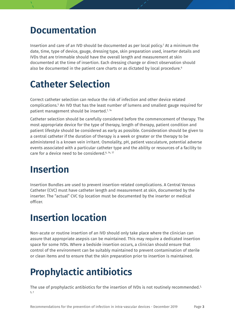#### <span id="page-5-0"></span>**Documentation**

Insertion and care of an IVD should be documented as per local policy.7 At a minimum the date, time, type of device, gauge, dressing type, skin preparation used, inserter details and IVDs that are trimmable should have the overall length and measurement at skin documented at the time of insertion. Each dressing change or direct observation should also be documented in the patient care charts or as dictated by local procedure.<sup>6</sup>

### <span id="page-5-1"></span>**Catheter Selection**

Correct catheter selection can reduce the risk of infection and other device related complications.5 An IVD that has the least number of lumens and smallest gauge required for patient management should be inserted.<sup>7, 14</sup>

Catheter selection should be carefully considered before the commencement of therapy. The most appropriate device for the type of therapy, length of therapy, patient condition and patient lifestyle should be considered as early as possible. Consideration should be given to a central catheter if the duration of therapy is a week or greater or the therapy to be administered is a known vein irritant. Osmolality, pH, patient vasculature, potential adverse events associated with a particular catheter type and the ability or resources of a facility to care for a device need to be considered. 6, 14, 17

### <span id="page-5-2"></span>**Insertion**

Insertion Bundles are used to prevent insertion-related complications. A Central Venous Catheter (CVC) must have catheter length and measurement at skin, documented by the inserter. The "actual" CVC tip location must be documented by the inserter or medical officer.

### <span id="page-5-3"></span>**Insertion location**

Non-acute or routine insertion of an IVD should only take place where the clinician can assure that appropriate asepsis can be maintained. This may require a dedicated insertion space for some IVDs. Where a bedside insertion occurs, a clinician should ensure that control of the environment can be suitably maintained to prevent contamination of sterile or clean items and to ensure that the skin preparation prior to insertion is maintained.

# <span id="page-5-4"></span>**Prophylactic antibiotics**

The use of prophylactic antibiotics for the insertion of IVDs is not routinely recommended.<sup>3,</sup> 5, 7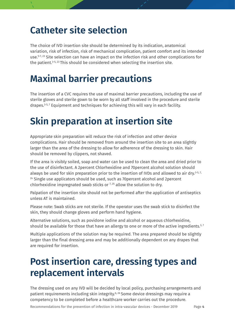#### <span id="page-6-0"></span>**Catheter site selection**

The choice of IVD insertion site should be determined by its indication, anatomical variation, risk of infection, risk of mechanical complication, patient comfort and its intended use. 5-7, 23 Site selection can have an impact on the infection risk and other complications for the patient.<sup>3-5, 23</sup> This should be considered when selecting the insertion site.

## <span id="page-6-1"></span>**Maximal barrier precautions**

The insertion of a CVC requires the use of maximal barrier precautions, including the use of sterile gloves and sterile gown to be worn by all staff involved in the procedure and sterile drapes. 3-5, 7 Equipment and techniques for achieving this will vary in each facility.

## <span id="page-6-2"></span>**Skin preparation at insertion site**

Appropriate skin preparation will reduce the risk of infection and other device complications. Hair should be removed from around the insertion site to an area slightly larger than the area of the dressing to allow for adherence of the dressing to skin. Hair should be removed by clippers, not shaved.

If the area is visibly soiled, soap and water can be used to clean the area and dried prior to the use of disinfectant. A 2percent Chlorhexidine and 70percent alcohol solution should always be used for skin preparation prior to the insertion of IVDs and allowed to air dry. 3-5, 7,  $24$  Single use applicators should be used, such as 70 percent alcohol and 2 percent chlorhexidine impregnated swab sticks or  $7,25$  allow the solution to dry.

Palpation of the insertion site should not be performed after the application of antiseptics unless AT is maintained.

Please note: Swab sticks are not sterile. If the operator uses the swab stick to disinfect the skin, they should change gloves and perform hand hygiene.

Alternative solutions, such as povidone iodine and alcohol or aqueous chlorhexidine, should be available for those that have an allergy to one or more of the active ingredients. $^{\mathsf{3,7}}$ 

Multiple applications of the solution may be required. The area prepared should be slightly larger than the final dressing area and may be additionally dependent on any drapes that are required for insertion.

# <span id="page-6-3"></span>**Post insertion care, dressing types and replacement intervals**

The dressing used on any IVD will be decided by local policy, purchasing arrangements and patient requirements including skin integrity. 6, 26 Some device dressings may require a competency to be completed before a healthcare worker carries out the procedure.

Recommendations for the prevention of infection in intra-vascular devices - December 2019 Page **4**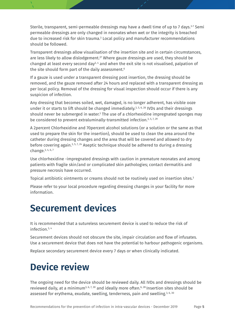Sterile, transparent, semi-permeable dressings may have a dwell time of up to 7 days.<sup>3-7</sup> Semi permeable dressings are only changed in neonates when wet or the integrity is breached due to increased risk for skin trauma. <sup>3</sup> Local policy and manufacturer recommendations should be followed.

Transparent dressings allow visualisation of the insertion site and in certain circumstances, are less likely to allow dislodgement. <sup>27</sup> Where gauze dressings are used, they should be changed at least every second day<sup>3, 4</sup> and when the exit site is not visualised, palpation of the site should form part of the daily assessment. 6

If a gauze is used under a transparent dressing post insertion, the dressing should be removed, and the gauze removed after 24 hours and replaced with a transparent dressing as per local policy. Removal of the dressing for visual inspection should occur if there is any suspicion of infection.

Any dressing that becomes soiled, wet, damaged, is no longer adherent, has visible ooze under it or starts to lift should be changed immediately. 3, 5, 6, 28 IVDs and their dressings should never be submerged in water. $^{\rm 3}$  The use of a chlorhexidine impregnated sponges may be considered to prevent extraluminally-transmitted infection.<sup>3, 5, 7, 29</sup>

A 2percent Chlorhexidine and 70percent alcohol solutions (or a solution or the same as that used to prepare the skin for the insertion), should be used to clean the area around the catheter during dressing changes and the area that will be covered and allowed to dry before covering again. 3, 5, 7, 24 Aseptic technique should be adhered to during a dressing change. 3, 4, 6, 7

Use chlorhexidine -impregnated dressings with caution in premature neonates and among patients with fragile skin/and or complicated skin pathologies; contact dermatitis and pressure necrosis have occurred.

Topical antibiotic ointments or creams should not be routinely used on insertion sites.<sup>3</sup>

Please refer to your local procedure regarding dressing changes in your facility for more information.

#### <span id="page-7-0"></span>**Securement devices**

It is recommended that a sutureless securement device is used to reduce the risk of infection. 3, 4

Securement devices should not obscure the site, impair circulation and flow of infusates. Use a securement device that does not have the potential to harbour pathogenic organisms.

Replace secondary securement device every 7 days or when clinically indicated.

# <span id="page-7-1"></span>**Device review**

The ongoing need for the device should be reviewed daily. All IVDs and dressings should be reviewed daily, at a minimum<sup>3, 6, 7, 30</sup> and ideally more often.<sup>6, 28</sup> Insertion sites should be assessed for erythema, exudate, swelling, tenderness, pain and swelling.<sup>3, 6, 30</sup>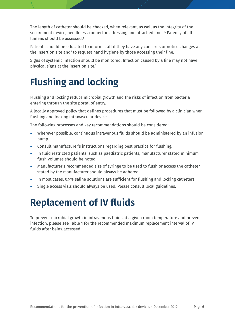The length of catheter should be checked, when relevant, as well as the integrity of the securement device, needleless connectors, dressing and attached lines. <sup>6</sup> Patency of all lumens should be assessed. 6

Patients should be educated to inform staff if they have any concerns or notice changes at the insertion site and<sup>3</sup> to request hand hygiene by those accessing their line.

Signs of systemic infection should be monitored. Infection caused by a line may not have physical signs at the insertion site. 3

# <span id="page-8-0"></span>**Flushing and locking**

Flushing and locking reduce microbial growth and the risks of infection from bacteria entering through the site portal of entry.

A locally approved policy that defines procedures that must be followed by a clinician when flushing and locking intravascular device.

The following processes and key recommendations should be considered:

- Wherever possible, continuous intravenous fluids should be administered by an infusion pump.
- Consult manufacturer's instructions regarding best practice for flushing.
- In fluid restricted patients, such as paediatric patients, manufacturer stated minimum flush volumes should be noted.
- Manufacturer's recommended size of syringe to be used to flush or access the catheter stated by the manufacturer should always be adhered.
- In most cases, 0.9% saline solutions are sufficient for flushing and locking catheters.
- <span id="page-8-1"></span>• Single access vials should always be used. Please consult local guidelines.

## **Replacement of IV fluids**

To prevent microbial growth in intravenous fluids at a given room temperature and prevent infection, please see Table 1 for the recommended maximum replacement interval of IV fluids after being accessed.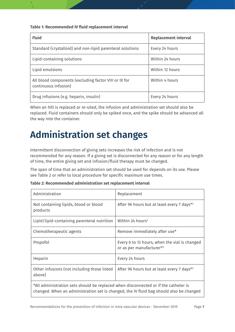**Table 1: Recommended IV fluid replacement interval**

| <b>Fluid</b>                                                                  | <b>Replacement interval</b> |
|-------------------------------------------------------------------------------|-----------------------------|
| Standard (crystalloid) and non-lipid parenteral solutions                     | Every 24 hours              |
| Lipid-containing solutions                                                    | Within 24 hours             |
| Lipid emulsions                                                               | Within 12 hours             |
| All blood components (excluding factor VIII or IX for<br>continuous infusion) | Within 4 hours              |
| Drug infusions (e.g. heparin, insulin)                                        | Every 24 hours              |

When an IVD is replaced or re-sited, the infusion and administration set should also be replaced. Fluid containers should only be spiked once, and the spike should be advanced all the way into the container.

# <span id="page-9-0"></span>**Administration set changes**

Intermittent disconnection of giving sets increases the risk of infection and is not recommended for any reason. If a giving set is disconnected for any reason or for any length of time, the entire giving set and infusion/fluid therapy must be changed.

The span of time that an administration set should be used for depends on its use. Please see Table 2 or refer to local procedure for specific maximum use times.

| Table 2: Recommended administration set replacement interval |
|--------------------------------------------------------------|
|--------------------------------------------------------------|

| Administration                                                                                                                                                                 | Replacement                                                               |  |
|--------------------------------------------------------------------------------------------------------------------------------------------------------------------------------|---------------------------------------------------------------------------|--|
| Not containing lipids, blood or blood<br>products                                                                                                                              | After 96 hours but at least every 7 days*3                                |  |
| Lipid/lipid-containing parenteral nutrition                                                                                                                                    | Within 24 hours <sup>3</sup>                                              |  |
| Chemotherapeutic agents                                                                                                                                                        | Remove immediately after use*                                             |  |
| Propofol                                                                                                                                                                       | Every 6 to 12 hours, when the vial is changed<br>or as per manufacturer*3 |  |
| Heparin                                                                                                                                                                        | Every 24 hours                                                            |  |
| Other infusions (not including those listed<br>above)                                                                                                                          | After 96 hours but at least every 7 days*3                                |  |
| *All administration sets should be replaced when disconnected or if the catheter is<br>changed. When an administration set is changed, the IV fluid bag should also be changed |                                                                           |  |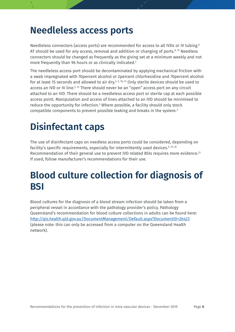#### <span id="page-10-0"></span>**Needleless access ports**

Needleless connectors (access ports) are recommended for access to all IVDs or IV tubing. 6 AT should be used for any access, removal and addition or changing of ports. 6, 15 Needless connectors should be changed as frequently as the giving set at a minimum weekly and not more frequently than 96 hours or as clinically indicated. 3

The needleless access port should be decontaminated by applying mechanical friction with a swab impregnated with 70percent alcohol or 2percent chlorhexidine and 70percent alcohol for at least 15 seconds and allowed to air dry.<sup>3, 5, 16, 31</sup> Only sterile devices should be used to access an IVD or IV line. 3, 15 There should never be an "open" access port on any circuit attached to an IVD. There should be a needleless access port or sterile cap at each possible access point. Manipulation and access of lines attached to an IVD should be minimised to reduce the opportunity for infection. <sup>3</sup> Where possible, a facility should only stock compatible components to prevent possible leaking and breaks in the system. 3

# <span id="page-10-1"></span>**Disinfectant caps**

The use of disinfectant caps on needless access ports could be considered, depending on facility's specific requirements, especially for intermittently used devices.<sup>5, 31, 32</sup> Recommendation of their general use to prevent IVD related BSIs requires more evidence. 31 If used, follow manufacturer's recommendations for their use.

## <span id="page-10-2"></span>**Blood culture collection for diagnosis of BSI**

Blood cultures for the diagnosis of a blood stream infection should be taken from a peripheral vessel in accordance with the pathology provider's policy. Pathology Queensland's recommendation for blood culture collections in adults can be found here: <http://qis.health.qld.gov.au/DocumentManagement/Default.aspx?DocumentID=26423> (please note: this can only be accessed from a computer on the Queensland Health network).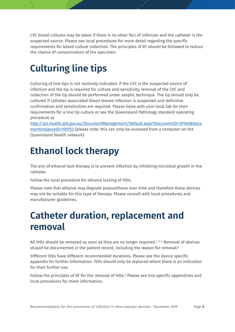CVC blood cultures may be taken if there is no other foci of infection and the catheter is the suspected source. Please see local procedures for more detail regarding the specific requirements for blood culture collection. The principles of AT should be followed to reduce the chance of contamination of the specimen.

# <span id="page-11-0"></span>**Culturing line tips**

Culturing of line tips is not routinely indicated. If the CVC is the suspected source of infection and the tip is required for culture and sensitivity, removal of the CVC and collection of the tip should be performed under aseptic technique. The tip should only be cultured if catheter-associated blood stream infection is suspected and definitive confirmation and sensitivities are required. Please liaise with your local lab for their requirements for a line tip culture or see the Queensland Pathology standard operating procedure at

[http://qis.health.qld.gov.au/DocumentManagement/Default.aspx?DocumentID=29160&Docu](http://qis.health.qld.gov.au/DocumentManagement/Default.aspx?DocumentID=29160&DocumentInstanceID=109753) [mentInstanceID=109753](http://qis.health.qld.gov.au/DocumentManagement/Default.aspx?DocumentID=29160&DocumentInstanceID=109753) (please note: this can only be accessed from a computer on the Queensland Health network).

# <span id="page-11-1"></span>**Ethanol lock therapy**

The aim of ethanol lock therapy is to prevent infection by inhibiting microbial growth in the catheter.

Follow the local procedure for ethanol locking of IVDs.

Please note that ethanol may degrade polyurethane over time and therefore these devices may not be suitable for this type of therapy. Please consult with local procedures and manufacturer guidelines.

# <span id="page-11-2"></span>**Catheter duration, replacement and removal**

All IVDs should be removed as soon as they are no longer required.<sup>3, 5, 6</sup> Removal of devices should be documented in the patient record, including the reason for removal.<sup>6</sup>

Different IVDs have different recommended durations. Please see the device specific appendix for further information. IVDs should only be replaced where there is an indication for their further use.

Follow the principles of AT for the removal of IVDs.<sup>6</sup> Please see line specific appendices and local procedures for more information.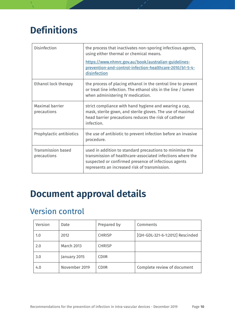# <span id="page-12-0"></span>**Definitions**

| Disinfection                             | the process that inactivates non-sporing infectious agents,<br>using either thermal or chemical means.                                                                                                                          |
|------------------------------------------|---------------------------------------------------------------------------------------------------------------------------------------------------------------------------------------------------------------------------------|
|                                          | https://www.nhmrc.gov.au/book/australian-guidelines-<br>prevention-and-control-infection-healthcare-2010/b1-5-4-<br>disinfection                                                                                                |
| Ethanol lock therapy                     | the process of placing ethanol in the central line to prevent<br>or treat line infection. The ethanol sits in the line / lumen<br>when administering IV medication.                                                             |
| Maximal barrier<br>precautions           | strict compliance with hand hygiene and wearing a cap,<br>mask, sterile gown, and sterile gloves. The use of maximal<br>head barrier precautions reduces the risk of catheter<br>infection.                                     |
| Prophylactic antibiotics                 | the use of antibiotic to prevent infection before an invasive<br>procedure.                                                                                                                                                     |
| <b>Transmission based</b><br>precautions | used in addition to standard precautions to minimise the<br>transmission of healthcare-associated infections where the<br>suspected or confirmed presence of infectious agents<br>represents an increased risk of transmission. |

## <span id="page-12-1"></span>**Document approval details**

#### <span id="page-12-2"></span>Version control

| Version | Date              | Prepared by   | Comments                        |
|---------|-------------------|---------------|---------------------------------|
| 1.0     | 2012              | <b>CHRISP</b> | [QH-GDL-321-6-1:2012] Rescinded |
| 2.0     | <b>March 2013</b> | <b>CHRISP</b> |                                 |
| 3.0     | January 2015      | <b>CDIM</b>   |                                 |
| 4.0     | November 2019     | <b>CDIM</b>   | Complete review of document     |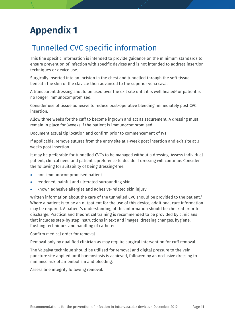## <span id="page-13-0"></span>**Appendix 1**

#### <span id="page-13-1"></span>Tunnelled CVC specific information

This line specific information is intended to provide guidance on the minimum standards to ensure prevention of infection with specific devices and is not intended to address insertion techniques or device use.

Surgically inserted into an incision in the chest and tunnelled through the soft tissue beneath the skin of the clavicle then advanced to the superior vena cava.

A transparent dressing should be used over the exit site until it is well healed<sup>3</sup> or patient is no longer immunocompromised.

Consider use of tissue adhesive to reduce post-operative bleeding immediately post CVC insertion.

Allow three weeks for the cuff to become ingrown and act as securement. A dressing must remain in place for 3weeks if the patient is immunocompromised.

Document actual tip location and confirm prior to commencement of IVT

If applicable, remove sutures from the entry site at 1-week post insertion and exit site at 3 weeks post insertion.

It may be preferable for tunnelled CVCs to be managed without a dressing. Assess individual patient, clinical need and patient's preference to decide if dressing will continue. Consider the following for suitability of being dressing-free:

- non-immunocompromised patient
- reddened, painful and ulcerated surrounding skin
- known adhesive allergies and adhesive-related skin injury

Written information about the care of the tunnelled CVC should be provided to the patient. 3 Where a patient is to be an outpatient for the use of this device, additional care information may be required. A patient's understanding of this information should be checked prior to discharge. Practical and theoretical training is recommended to be provided by clinicians that includes step-by step instructions in text and images, dressing changes, hygiene, flushing techniques and handling of catheter.

Confirm medical order for removal

Removal only by qualified clinician as may require surgical intervention for cuff removal.

The Valsalva technique should be utilised for removal and digital pressure to the vein puncture site applied until haemostasis is achieved, followed by an occlusive dressing to minimise risk of air embolism and bleeding.

Assess line integrity following removal.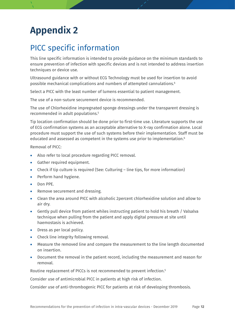# <span id="page-14-0"></span>**Appendix 2**

#### <span id="page-14-1"></span>PICC specific information

This line specific information is intended to provide guidance on the minimum standards to ensure prevention of infection with specific devices and is not intended to address insertion techniques or device use.

Ultrasound guidance with or without ECG Technology must be used for insertion to avoid possible mechanical complications and numbers of attempted cannulations. 6

Select a PICC with the least number of lumens essential to patient management.

The use of a non-suture securement device is recommended.

The use of Chlorhexidine impregnated sponge dressings under the transparent dressing is recommended in adult populations. 5

Tip location confirmation should be done prior to first-time use. Literature supports the use of ECG confirmation systems as an acceptable alternative to X-ray confirmation alone. Local procedure must support the use of such systems before their implementation. Staff must be educated and assessed as competent in the systems use prior to implementation. 6

Removal of PICC:

- Also refer to local procedure regarding PICC removal.
- Gather required equipment.
- Check if tip culture is required (See: Culturing line tips, for more information)
- Perform hand hygiene.
- Don PPE.
- Remove securement and dressing.
- Clean the area around PICC with alcoholic 2percent chlorhexidine solution and allow to air dry.
- Gently pull device from patient whiles instructing patient to hold his breath / Valsalva technique when pulling from the patient and apply digital pressure at site until haemostasis is achieved.
- Dress as per local policy.
- Check line integrity following removal.
- Measure the removed line and compare the measurement to the line length documented on insertion.
- Document the removal in the patient record, including the measurement and reason for removal.

Routine replacement of PICCs is not recommended to prevent infection. 5

Consider use of antimicrobial PICC in patients at high risk of infection.

Consider use of anti-thrombogenic PICC for patients at risk of developing thrombosis.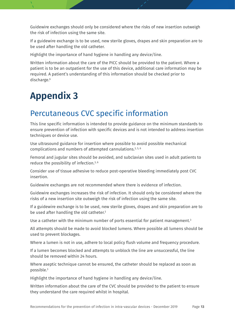Guidewire exchanges should only be considered where the risks of new insertion outweigh the risk of infection using the same site.

If a guidewire exchange is to be used, new sterile gloves, drapes and skin preparation are to be used after handling the old catheter.

Highlight the importance of hand hygiene in handling any device/line.

Written information about the care of the PICC should be provided to the patient. Where a patient is to be an outpatient for the use of this device, additional care information may be required. A patient's understanding of this information should be checked prior to discharge. 6

# <span id="page-15-0"></span>**Appendix 3**

#### <span id="page-15-1"></span>Percutaneous CVC specific information

This line specific information is intended to provide guidance on the minimum standards to ensure prevention of infection with specific devices and is not intended to address insertion techniques or device use.

Use ultrasound guidance for insertion where possible to avoid possible mechanical complications and numbers of attempted cannulations.<sup>3, 5, 6</sup>

Femoral and jugular sites should be avoided, and subclavian sites used in adult patients to reduce the possibility of infection.3, 6

Consider use of tissue adhesive to reduce post-operative bleeding immediately post CVC insertion.

Guidewire exchanges are not recommended where there is evidence of infection.

Guidewire exchanges increases the risk of infection. It should only be considered where the risks of a new insertion site outweigh the risk of infection using the same site.

If a guidewire exchange is to be used, new sterile gloves, drapes and skin preparation are to be used after handling the old catheter.<sup>3</sup>

Use a catheter with the minimum number of ports essential for patient management.<sup>3</sup>

All attempts should be made to avoid blocked lumens. Where possible all lumens should be used to prevent blockages.

Where a lumen is not in use, adhere to local policy flush volume and frequency procedure.

If a lumen becomes blocked and attempts to unblock the line are unsuccessful, the line should be removed within 24 hours.

Where aseptic technique cannot be ensured, the catheter should be replaced as soon as possible. 3

Highlight the importance of hand hygiene in handling any device/line.

Written information about the care of the CVC should be provided to the patient to ensure they understand the care required whilst in hospital.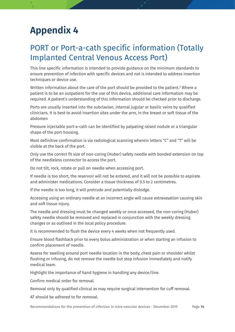## <span id="page-16-0"></span>**Appendix 4**

#### <span id="page-16-1"></span>PORT or Port-a-cath specific information (Totally Implanted Central Venous Access Port)

This line specific information is intended to provide guidance on the minimum standards to ensure prevention of infection with specific devices and not is intended to address insertion techniques or device use.

Written information about the care of the port should be provided to the patient.<sup>3</sup> Where a patient is to be an outpatient for the use of this device, additional care information may be required. A patient's understanding of this information should be checked prior to discharge.

Ports are usually inserted into the subclavian, internal jugular or basilic veins by qualified clinicians. It is best to avoid insertion sites under the arm, in the breast or soft tissue of the abdomen

Pressure injectable port-a-cath can be identified by palpating raised nodule or a triangular shape of the port housing.

Most definitive confirmation is via radiological scanning wherein letters "C" and "T" will be visible at the back of the port.

Only use the correct fit size of non-coring (Huber) safety needle with bonded extension on top of the needleless connector to access the port.

Do not tilt, rock, rotate or pull on needle when accessing port.

If needle is too short, the reservoir will not be entered, and it will not be possible to aspirate and administer medications. Consider a tissue thickness of 0.5 to 2 centimetres.

If the needle is too long, it will protrude and potentially dislodge.

Accessing using an ordinary needle at an incorrect angle will cause extravasation causing skin and soft tissue injury.

The needle and dressing must be changed weekly or once accessed, the non-coring (Huber) safety needle should be removed and replaced in conjunction with the weekly dressing changes or as outlined in the local policy procedure.

It is recommended to flush the device every 4 weeks when not frequently used.

Ensure blood flashback prior to every bolus administration or when starting an infusion to confirm placement of needle.

Assess for swelling around port needle location in the body, chest pain or shoulder whilst flushing or infusing, do not remove the needle but stop infusion immediately and notify medical team.

Highlight the importance of hand hygiene in handling any device/line.

Confirm medical order for removal.

Removal only by qualified clinical as may require surgical intervention for cuff removal.

AT should be adhered to for removal.

Recommendations for the prevention of infection in intra-vascular devices - December 2019 Page **14**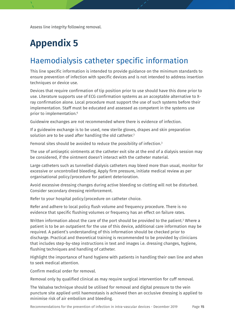Assess line integrity following removal.

# <span id="page-17-0"></span>**Appendix 5**

#### <span id="page-17-1"></span>Haemodialysis catheter specific information

This line specific information is intended to provide guidance on the minimum standards to ensure prevention of infection with specific devices and is not intended to address insertion techniques or device use.

Devices that require confirmation of tip position prior to use should have this done prior to use. Literature supports use of ECG confirmation systems as an acceptable alternative to Xray confirmation alone. Local procedure must support the use of such systems before their implementation. Staff must be educated and assessed as competent in the systems use prior to implementation.<sup>6</sup>

Guidewire exchanges are not recommended where there is evidence of infection.

If a guidewire exchange is to be used, new sterile gloves, drapes and skin preparation solution are to be used after handling the old catheter.<sup>3</sup>

Femoral sites should be avoided to reduce the possibility of infection.3

The use of antiseptic ointments at the catheter exit site at the end of a dialysis session may be considered, if the ointment doesn't interact with the catheter material.

Large catheters such as tunnelled dialysis catheters may bleed more than usual, monitor for excessive or uncontrolled bleeding. Apply firm pressure, initiate medical review as per organisational policy/procedure for patient deterioration.

Avoid excessive dressing changes during active bleeding so clotting will not be disturbed. Consider secondary dressing reinforcement.

Refer to your hospital policy/procedure on catheter choice.

Refer and adhere to local policy flush volume and frequency procedure. There is no evidence that specific flushing volumes or frequency has an effect on failure rates.

Written information about the care of the port should be provided to the patient.<sup>3</sup> Where a patient is to be an outpatient for the use of this device, additional care information may be required. A patient's understanding of this information should be checked prior to discharge. Practical and theoretical training is recommended to be provided by clinicians that includes step-by-step instructions in text and images i.e. dressing changes, hygiene, flushing techniques and handling of catheter.

Highlight the importance of hand hygiene with patients in handling their own line and when to seek medical attention.

Confirm medical order for removal.

Removal only by qualified clinical as may require surgical intervention for cuff removal.

The Valsalva technique should be utilised for removal and digital pressure to the vein puncture site applied until haemostasis is achieved then an occlusive dressing is applied to minimise risk of air embolism and bleeding.

Recommendations for the prevention of infection in intra-vascular devices - December 2019 Page **15**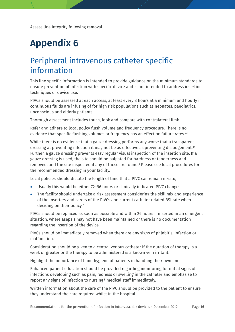Assess line integrity following removal.

# <span id="page-18-0"></span>**Appendix 6**

#### <span id="page-18-1"></span>Peripheral intravenous catheter specific information

This line specific information is intended to provide guidance on the minimum standards to ensure prevention of infection with specific device and is not intended to address insertion techniques or device use.

PIVCs should be assessed at each access, at least every 8 hours at a minimum and hourly if continuous fluids are infusing of for high risk populations such as neonates, paediatrics, unconscious and elderly patients.

Thorough assessment includes touch, look and compare with contralateral limb.

Refer and adhere to local policy flush volume and frequency procedure. There is no evidence that specific flushing volumes or frequency has an effect on failure rates.<sup>33</sup>

While there is no evidence that a gauze dressing performs any worse that a transparent dressing at preventing infection it may not be as effective as preventing dislodgement.<sup>27</sup> Further, a gauze dressing prevents easy regular visual inspection of the insertion site. If a gauze dressing is used, the site should be palpated for hardness or tenderness and removed, and the site inspected if any of these are found.3 Please see local procedures for the recommended dressing in your facility.

Local policies should dictate the length of time that a PIVC can remain in-situ;

- Usually this would be either 72–96 hours or clinically indicated PIVC changes.
- The facility should undertake a risk assessment considering the skill mix and experience of the inserters and carers of the PIVCs and current catheter related BSI rate when deciding on their policy. 34

PIVCs should be replaced as soon as possible and within 24 hours if inserted in an emergent situation, where asepsis may not have been maintained or there is no documentation regarding the insertion of the device.

PIVCs should be immediately removed when there are any signs of phlebitis, infection or malfunction. 3

Consideration should be given to a central venous catheter if the duration of therapy is a week or greater or the therapy to be administered is a known vein irritant.

Highlight the importance of hand hygiene of patients in handling their own line.

Enhanced patient education should be provided regarding monitoring for initial signs of infections developing such as pain, redness or swelling in the catheter and emphasise to report any signs of infection to nursing/ medical staff immediately.

Written information about the care of the PIVC should be provided to the patient to ensure they understand the care required whilst in the hospital.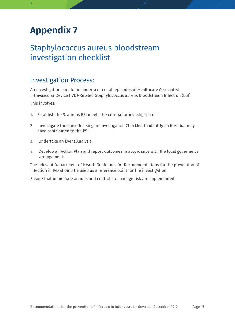## <span id="page-19-0"></span>**Appendix 7**

#### <span id="page-19-1"></span>Staphylococcus aureus bloodstream investigation checklist

#### Investigation Process:

An investigation should be undertaken of all episodes of Healthcare Associated Intravascular Device (IVD)-Related Staphylococcus aureus Bloodstream Infection (BSI)

This involves:

- 1. Establish the S. aureus BSI meets the criteria for investigation.
- 2. Investigate the episode using an Investigation Checklist to identify factors that may have contributed to the BSI.
- 3. Undertake an Event Analysis.
- 4. Develop an Action Plan and report outcomes in accordance with the local governance arrangement.

The relevant Department of Health Guidelines for Recommendations for the prevention of infection in IVD should be used as a reference point for the investigation.

Ensure that immediate actions and controls to manage risk are implemented.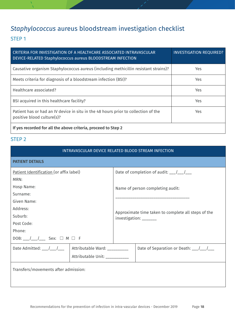#### *Staphylococcus* aureus bloodstream investigation checklist

#### STEP 1

| CRITERIA FOR INVESTIGATION OF A HEALTHCARE ASSOCIATED INTRAVASCULAR<br>DEVICE-RELATED Staphylococcus aureus BLOODSTREAM INFECTION | <b>INVESTIGATION REQUIRED?</b> |  |
|-----------------------------------------------------------------------------------------------------------------------------------|--------------------------------|--|
| Causative organism Staphylococcus aureus (including methicillin resistant strains)?                                               | Yes.                           |  |
| Meets criteria for diagnosis of a bloodstream infection (BSI)?                                                                    | <b>Yes</b>                     |  |
| Healthcare associated?                                                                                                            | Yes.                           |  |
| BSI acquired in this healthcare facility?                                                                                         | <b>Yes</b>                     |  |
| Patient has or had an IV device in situ in the 48 hours prior to collection of the<br>positive blood culture(s)?                  | Yes.                           |  |
| If yes recorded for all the above criteria, proceed to Step 2                                                                     |                                |  |

#### STEP 2

| INTRAVASCULAR DEVICE RELATED BLOOD STREAM INFECTION                                                                                                                                                                                                                                                                                                                                                       |                               |                                                                                      |                                                                                                                                                                                                                                                                                                                                                                                                 |  |
|-----------------------------------------------------------------------------------------------------------------------------------------------------------------------------------------------------------------------------------------------------------------------------------------------------------------------------------------------------------------------------------------------------------|-------------------------------|--------------------------------------------------------------------------------------|-------------------------------------------------------------------------------------------------------------------------------------------------------------------------------------------------------------------------------------------------------------------------------------------------------------------------------------------------------------------------------------------------|--|
| <b>PATIENT DETAILS</b>                                                                                                                                                                                                                                                                                                                                                                                    |                               |                                                                                      |                                                                                                                                                                                                                                                                                                                                                                                                 |  |
| Patient Identification (or affix label)                                                                                                                                                                                                                                                                                                                                                                   |                               | Date of completion of audit: $\frac{1}{2}$ $\frac{1}{2}$ $\frac{1}{2}$ $\frac{1}{2}$ |                                                                                                                                                                                                                                                                                                                                                                                                 |  |
| MRN:                                                                                                                                                                                                                                                                                                                                                                                                      |                               |                                                                                      |                                                                                                                                                                                                                                                                                                                                                                                                 |  |
| Hosp Name:                                                                                                                                                                                                                                                                                                                                                                                                |                               | Name of person completing audit:                                                     |                                                                                                                                                                                                                                                                                                                                                                                                 |  |
| Surname:                                                                                                                                                                                                                                                                                                                                                                                                  |                               |                                                                                      |                                                                                                                                                                                                                                                                                                                                                                                                 |  |
| Given Name:                                                                                                                                                                                                                                                                                                                                                                                               |                               |                                                                                      |                                                                                                                                                                                                                                                                                                                                                                                                 |  |
| Address:                                                                                                                                                                                                                                                                                                                                                                                                  |                               | Approximate time taken to complete all steps of the<br>investigation: _______        |                                                                                                                                                                                                                                                                                                                                                                                                 |  |
| Suburb:                                                                                                                                                                                                                                                                                                                                                                                                   |                               |                                                                                      |                                                                                                                                                                                                                                                                                                                                                                                                 |  |
| Post Code:                                                                                                                                                                                                                                                                                                                                                                                                |                               |                                                                                      |                                                                                                                                                                                                                                                                                                                                                                                                 |  |
| Phone:                                                                                                                                                                                                                                                                                                                                                                                                    |                               |                                                                                      |                                                                                                                                                                                                                                                                                                                                                                                                 |  |
| DOB: __/__/___ Sex: $\Box$ M $\Box$ F                                                                                                                                                                                                                                                                                                                                                                     |                               |                                                                                      |                                                                                                                                                                                                                                                                                                                                                                                                 |  |
| Date Admitted: $\frac{1}{\sqrt{1-\frac{1}{1-\frac{1}{1-\frac{1}{1-\frac{1}{1-\frac{1}{1-\frac{1}{1-\frac{1}{1-\frac{1}{1-\frac{1}{1-\frac{1}{1-\frac{1}{1-\frac{1}{1-\frac{1}{1-\frac{1}{1-\frac{1}{1-\frac{1}{1-\frac{1}{1-\frac{1}{1-\frac{1}{1-\frac{1}{1-\frac{1}{1-\frac{1}{1-\frac{1}{1-\frac{1}{1-\frac{1}{1-\frac{1}{1-\frac{1}{1-\frac{1}{1-\frac{1}{1-\frac{1}{1-\frac{1}{1-\frac{1}{1-\frac{1$ | Attributable Ward: _________  |                                                                                      | Date of Separation or Death: $\frac{1}{\sqrt{1-\frac{1}{1-\frac{1}{1-\frac{1}{1-\frac{1}{1-\frac{1}{1-\frac{1}{1-\frac{1}{1-\frac{1}{1-\frac{1}{1-\frac{1}{1-\frac{1}{1-\frac{1}{1-\frac{1}{1-\frac{1}{1-\frac{1}{1-\frac{1}{1-\frac{1}{1-\frac{1}{1-\frac{1}{1-\frac{1}{1-\frac{1}{1-\frac{1}{1-\frac{1}{1-\frac{1}{1-\frac{1}{1-\frac{1}{1-\frac{1}{1-\frac{1}{1-\frac{1}{1-\frac{1}{1-\frac$ |  |
|                                                                                                                                                                                                                                                                                                                                                                                                           | Attributable Unit: __________ |                                                                                      |                                                                                                                                                                                                                                                                                                                                                                                                 |  |
| Transfers/movements after admission:                                                                                                                                                                                                                                                                                                                                                                      |                               |                                                                                      |                                                                                                                                                                                                                                                                                                                                                                                                 |  |
|                                                                                                                                                                                                                                                                                                                                                                                                           |                               |                                                                                      |                                                                                                                                                                                                                                                                                                                                                                                                 |  |
|                                                                                                                                                                                                                                                                                                                                                                                                           |                               |                                                                                      |                                                                                                                                                                                                                                                                                                                                                                                                 |  |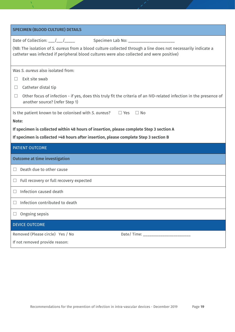| <b>SPECIMEN (BLOOD CULTURE) DETAILS</b>                                                                                                                                                                    |
|------------------------------------------------------------------------------------------------------------------------------------------------------------------------------------------------------------|
| Date of Collection: $\frac{1}{\sqrt{1-\frac{1}{1-\cdots}}}}$<br>Specimen Lab No: _______________________                                                                                                   |
| (NB: The isolation of S. aureus from a blood culture collected through a line does not necessarily indicate a<br>catheter was infected if peripheral blood cultures were also collected and were positive) |
| Was S. aureus also isolated from:                                                                                                                                                                          |
| Exit site swab                                                                                                                                                                                             |
| Catheter distal tip<br>$\Box$                                                                                                                                                                              |
| Other focus of infection - if yes, does this truly fit the criteria of an IVD-related infection in the presence of<br>$\Box$<br>another source? (refer Step 1)                                             |
| Is the patient known to be colonised with S. aureus?<br>$\Box$ Yes<br>$\Box$ No                                                                                                                            |
| Note:                                                                                                                                                                                                      |
| If specimen is collected within 48 hours of insertion, please complete Step 3 section A                                                                                                                    |
| If specimen is collected >48 hours after insertion, please complete Step 3 section B                                                                                                                       |
| PATIENT OUTCOME                                                                                                                                                                                            |
| <b>Outcome at time investigation</b>                                                                                                                                                                       |
| Death due to other cause<br>П                                                                                                                                                                              |
| Full recovery or full recovery expected<br>$\Box$                                                                                                                                                          |
| Infection caused death                                                                                                                                                                                     |
| Infection contributed to death                                                                                                                                                                             |
| Ongoing sepsis<br>$\sqcup$                                                                                                                                                                                 |
| <b>DEVICE OUTCOME</b>                                                                                                                                                                                      |
| Removed (Please circle) Yes / No<br>Date/Time: _______________________                                                                                                                                     |
|                                                                                                                                                                                                            |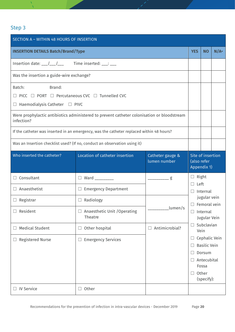#### Step 3

| SECTION A - WITHIN 48 HOURS OF INSERTION                                                                                                                                                                                                                                                                                                                                                                                   |                |                                                                                                                              |                                                 |                   |
|----------------------------------------------------------------------------------------------------------------------------------------------------------------------------------------------------------------------------------------------------------------------------------------------------------------------------------------------------------------------------------------------------------------------------|----------------|------------------------------------------------------------------------------------------------------------------------------|-------------------------------------------------|-------------------|
| <b>INSERTION DETAILS Batch/Brand/Type</b>                                                                                                                                                                                                                                                                                                                                                                                  |                |                                                                                                                              |                                                 |                   |
| Insertion date: $\frac{1}{\sqrt{1-\frac{1}{1-\frac{1}{1-\frac{1}{1-\frac{1}{1-\frac{1}{1-\frac{1}{1-\frac{1}{1-\frac{1}{1-\frac{1}{1-\frac{1}{1-\frac{1}{1-\frac{1}{1-\frac{1}{1-\frac{1}{1-\frac{1}{1-\frac{1}{1-\frac{1}{1-\frac{1}{1-\frac{1}{1-\frac{1}{1-\frac{1}{1-\frac{1}{1-\frac{1}{1-\frac{1}{1-\frac{1}{1-\frac{1}{1-\frac{1}{1-\frac{1}{1-\frac{1}{1-\frac{1}{1-\frac{1}{1-\frac{1}{1-\frac{$                  |                |                                                                                                                              |                                                 |                   |
| Was the insertion a guide-wire exchange?                                                                                                                                                                                                                                                                                                                                                                                   |                |                                                                                                                              |                                                 |                   |
| Brand:<br>Batch:<br>$\Box$ PICC $\Box$ PORT $\Box$ Percutaneous CVC $\Box$ Tunnelled CVC<br>$\Box$ Haemodialysis Catheter $\Box$ PIVC<br>Were prophylactic antibiotics administered to prevent catheter colonisation or bloodstream<br>infection?<br>If the catheter was inserted in an emergency, was the catheter replaced within 48 hours?<br>Was an Insertion checklist used? (If no, conduct an observation using it) |                |                                                                                                                              |                                                 |                   |
| Location of catheter insertion<br>Who inserted the catheter?<br>Catheter gauge &<br>lumen number                                                                                                                                                                                                                                                                                                                           |                |                                                                                                                              | Site of insertion<br>(also refer<br>Appendix 1) |                   |
| $\Box$ Ward _________                                                                                                                                                                                                                                                                                                                                                                                                      | g              | $\Box$ Right                                                                                                                 |                                                 |                   |
| $\Box$ Emergency Department                                                                                                                                                                                                                                                                                                                                                                                                |                | Internal<br>$\Box$<br>jugular vein<br>$\Box$ Femoral vein<br>LI.<br>Internal<br>Jugular Vein<br>Subclavian<br>$\Box$<br>Vein |                                                 |                   |
| $\Box$ Radiology                                                                                                                                                                                                                                                                                                                                                                                                           |                |                                                                                                                              |                                                 |                   |
| □ Anaesthetic Unit /Operating<br>Theatre                                                                                                                                                                                                                                                                                                                                                                                   |                |                                                                                                                              |                                                 |                   |
| Other hospital                                                                                                                                                                                                                                                                                                                                                                                                             | Antimicrobial? |                                                                                                                              |                                                 |                   |
| <b>Emergency Services</b>                                                                                                                                                                                                                                                                                                                                                                                                  |                | Cephalic Vein<br><b>Basilic Vein</b><br>Dorsum<br>Antecubital<br>$\Box$<br>Fossa<br>Other<br>ш<br>(specify):                 |                                                 |                   |
|                                                                                                                                                                                                                                                                                                                                                                                                                            | $\Box$ Other   | lumen/s                                                                                                                      | <b>YES</b><br>$\Box$                            | <b>NO</b><br>Left |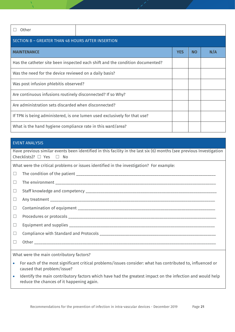| Other                                                                         |            |           |     |  |  |
|-------------------------------------------------------------------------------|------------|-----------|-----|--|--|
| SECTION B - GREATER THAN 48 HOURS AFTER INSERTION                             |            |           |     |  |  |
| <b>MAINTENANCE</b>                                                            | <b>YES</b> | <b>NO</b> | N/A |  |  |
| Has the catheter site been inspected each shift and the condition documented? |            |           |     |  |  |
| Was the need for the device reviewed on a daily basis?                        |            |           |     |  |  |
| Was post infusion phlebitis observed?                                         |            |           |     |  |  |
| Are continuous infusions routinely disconnected? If so Why?                   |            |           |     |  |  |
| Are administration sets discarded when disconnected?                          |            |           |     |  |  |
| If TPN is being administered, is one lumen used exclusively for that use?     |            |           |     |  |  |
| What is the hand hygiene compliance rate in this ward/area?                   |            |           |     |  |  |

#### EVENT ANALYSIS

| Have previous similar events been identified in this facility in the last six (6) months (see previous Investigation<br>Checklists)? $\Box$ Yes $\Box$ No<br><u> 1989 - Johann Harry Harry Harry Harry Harry Harry Harry Harry Harry Harry Harry Harry Harry Harry Harry Harry</u> |  |  |  |  |
|------------------------------------------------------------------------------------------------------------------------------------------------------------------------------------------------------------------------------------------------------------------------------------|--|--|--|--|
| What were the critical problems or issues identified in the investigation? For example:                                                                                                                                                                                            |  |  |  |  |
| $\Box$                                                                                                                                                                                                                                                                             |  |  |  |  |
| $\Box$                                                                                                                                                                                                                                                                             |  |  |  |  |
| $\Box$                                                                                                                                                                                                                                                                             |  |  |  |  |
| ⊔                                                                                                                                                                                                                                                                                  |  |  |  |  |
| $\Box$                                                                                                                                                                                                                                                                             |  |  |  |  |
| $\Box$                                                                                                                                                                                                                                                                             |  |  |  |  |
| $\Box$                                                                                                                                                                                                                                                                             |  |  |  |  |
| $\Box$                                                                                                                                                                                                                                                                             |  |  |  |  |
| $\Box$                                                                                                                                                                                                                                                                             |  |  |  |  |
| What were the main contributory factors?                                                                                                                                                                                                                                           |  |  |  |  |

- For each of the most significant critical problems/issues consider: what has contributed to, influenced or caused that problem/issue?
- Identify the main contributory factors which have had the greatest impact on the infection and would help reduce the chances of it happening again.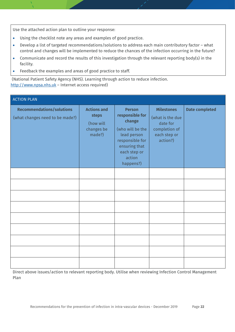Use the attached action plan to outline your response:

- Using the checklist note any areas and examples of good practice.
- Develop a list of targeted recommendations/solutions to address each main contributory factor what control and changes will be implemented to reduce the chances of the infection occurring in the future?
- Communicate and record the results of this investigation through the relevant reporting body(s) in the facility.
- Feedback the examples and areas of good practice to staff.

(National Patient Safety Agency (NHS). Learning through action to reduce infection. [http://www.npsa.nhs.uk](http://www.npsa.nhs.uk/) – Internet access required)

| <b>ACTION PLAN</b>                                                  |                                                                  |                                                                                                                                                          |                                                                                                |                       |
|---------------------------------------------------------------------|------------------------------------------------------------------|----------------------------------------------------------------------------------------------------------------------------------------------------------|------------------------------------------------------------------------------------------------|-----------------------|
| <b>Recommendations/solutions</b><br>(what changes need to be made?) | <b>Actions and</b><br>steps<br>(how will<br>changes be<br>made?) | <b>Person</b><br>responsible for<br>change<br>(who will be the<br>lead person<br>responsible for<br>ensuring that<br>each step or<br>action<br>happens?) | <b>Milestones</b><br>(what is the due<br>date for<br>completion of<br>each step or<br>action?) | <b>Date completed</b> |
|                                                                     |                                                                  |                                                                                                                                                          |                                                                                                |                       |
|                                                                     |                                                                  |                                                                                                                                                          |                                                                                                |                       |
|                                                                     |                                                                  |                                                                                                                                                          |                                                                                                |                       |
|                                                                     |                                                                  |                                                                                                                                                          |                                                                                                |                       |
|                                                                     |                                                                  |                                                                                                                                                          |                                                                                                |                       |
|                                                                     |                                                                  |                                                                                                                                                          |                                                                                                |                       |
|                                                                     |                                                                  |                                                                                                                                                          |                                                                                                |                       |
|                                                                     |                                                                  |                                                                                                                                                          |                                                                                                |                       |
|                                                                     |                                                                  |                                                                                                                                                          |                                                                                                |                       |

Direct above issues/action to relevant reporting body. Utilise when reviewing Infection Control Management Plan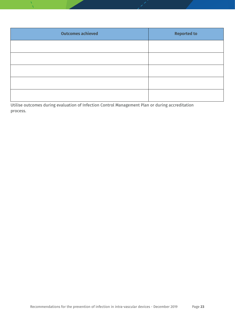| <b>Outcomes achieved</b> | <b>Reported to</b> |  |  |
|--------------------------|--------------------|--|--|
|                          |                    |  |  |
|                          |                    |  |  |
|                          |                    |  |  |
|                          |                    |  |  |
|                          |                    |  |  |

Utilise outcomes during evaluation of Infection Control Management Plan or during accreditation process.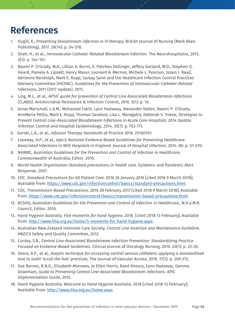#### **References**

- 1. Hugill, K., *Preventing bloodstream infection in IV therapy*. British Journal of Nursing (Mark Allen Publishing), 2017. 26(14): p. S4-S10.
- 2. Shah, H., et al., *Intravascular Catheter-Related Bloodstream Infection*. The Neurohospitalist, 2013. 3(3): p. 144-151.
- 3. Naomi P. O'Grady, M.A., Lillian A. Burns, E. Patchen Dellinger, Jeffery Garland, M.D., Stephen O. Heard, Pamela A. Lipsett, Henry Masur, Leonard A. Mermel, Michele L. Pearson, Issam I. Raad, Adrienne Randolph, Mark E. Rupp, Sanjay Saint and the Healthcare Infection Control Practices Advisory Committee (HICPAC). *Guidelines for the Prevention of Intravascular Catheter-Related Infections, 2011* (2017 Update). 2011.
- 4. Ling, M.L., et al., *APSIC guide for prevention of Central Line Associated Bloodstream Infections (CLABSI)*. Antimicrobial Resistance & Infection Control, 2016. 5(1): p. 16.
- 5. Jonas Marschall, L.A.M., Mohamad Fakih, Lynn Hadaway, Alexander Kallen, Naomi P. O'Grady, AnnMarie Pettis, Mark E. Rupp, Thomas Sandora, Lisa L. Maragakis, Deborah S. Yokoe, *Strategies to Prevent Central Line–Associated Bloodstream Infections in Acute Care Hospitals: 2014 Update.*  Infection Control and Hospital Epidemiology, 2014. 35(7): p. 753-771.
- 6. Gorski, L.A., et al., *Infusion Therapy Standards of Practice 2016*. 20160101.
- 7. Loveday, H.P., et al., epic3: N*ational Evidence-Based Guidelines for Preventing Healthcare-Associated Infections in NHS Hospitals in England.* Journal of Hospital Infection, 2014. 86: p. S1-S70.
- 8. NHMRC*, Australian Guidelines for the Prevention and Control of Infection in Healthcare,* Commonwealth of Australia, Editor. 2010.
- 9. *World Health Organisation Standard precautions in health care.* Epidemic and Pandemic Alert Response, 2007.
- 10. CDC. *Standard Precautions for All Patient Care. 2016 26 January 2016* [cited 2018 9 March 2018]; Available from: [https://www.cdc.gov/infectioncontrol/basics/standard-precautions.html.](https://www.cdc.gov/infectioncontrol/basics/standard-precautions.html)
- 11. CDC. *Transmission-Based Precautions. 2016 28 February 2017* [cited 2018 9 March 2018]; Available from: [https://www.cdc.gov/infectioncontrol/basics/transmission-based-precautions.html.](https://www.cdc.gov/infectioncontrol/basics/transmission-based-precautions.html)
- 12. ACSHQ, *Australian Guidelines for the Prevention and Control of Infection in Healthcare.,* N.H.a.M.R. Council, Editor. 2010.
- 13. Hand Hygiene Australia. *Five moments for hand hygeine.* 2018 [cited 2018 13 February]; Available from: [http://www.hha.org.au/home/5-moments-for-hand-hygiene.aspx.](http://www.hha.org.au/home/5-moments-for-hand-hygiene.aspx)
- 14. Australian New Zealand Intensive Care Society, *Central Line Insertion and Maintenance Guideline.*  ANZICS Safety and Quality Committee, 2012.
- 15. Conley, S.B., *Central Line-Associated Bloodstream Infection Prevention: Standardizing Practice Focused on Evidence-Based Guidelines.* Clinical Journal of Oncology Nursing, 2016. 20(1): p. 23-26.
- 16. Desra, A.P., et al., *Aseptic technique for accessing central venous catheters: applying a standardised tool to audit 'scrub the hub' practices.* The Journal of Vascular Access, 2016. 17(3): p. 269-272.
- 17. Sue Barnes, R.N.O., Elizabeth Monsees, Jo Ellen Harris, Raed Khoury, Lynn Hadaway, Gemma Downham, *Guide to Preventing Central Line-Associated Bloodstream Infections.* APIC Implementation Guide, 2015.
- 18. Hand Hygiene Australia. Welcome to *Hand Hygeine Australia.* 2018 [cited 2018 13 February]; Available from: [http://www.hha.org.au/home.aspx.](http://www.hha.org.au/home.aspx)